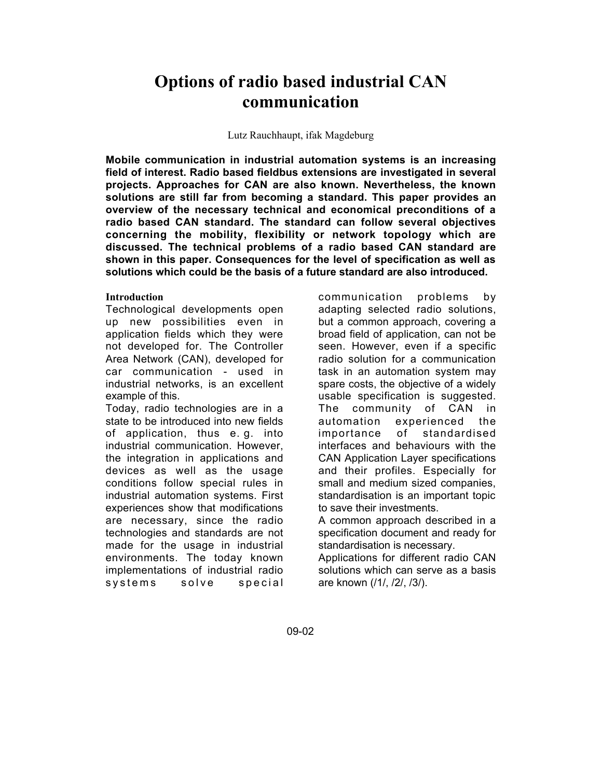# **Options of radio based industrial CAN communication**

#### Lutz Rauchhaupt, ifak Magdeburg

**Mobile communication in industrial automation systems is an increasing field of interest. Radio based fieldbus extensions are investigated in several projects. Approaches for CAN are also known. Nevertheless, the known solutions are still far from becoming a standard. This paper provides an overview of the necessary technical and economical preconditions of a radio based CAN standard. The standard can follow several objectives concerning the mobility, flexibility or network topology which are discussed. The technical problems of a radio based CAN standard are shown in this paper. Consequences for the level of specification as well as solutions which could be the basis of a future standard are also introduced.**

# **Introduction**

Technological developments open up new possibilities even in application fields which they were not developed for. The Controller Area Network (CAN), developed for car communication - used in industrial networks, is an excellent example of this.

Today, radio technologies are in a state to be introduced into new fields of application, thus e. g. into industrial communication. However, the integration in applications and devices as well as the usage conditions follow special rules in industrial automation systems. First experiences show that modifications are necessary, since the radio technologies and standards are not made for the usage in industrial environments. The today known implementations of industrial radio systems solve special

communication problems by adapting selected radio solutions, but a common approach, covering a broad field of application, can not be seen. However, even if a specific radio solution for a communication task in an automation system may spare costs, the objective of a widely usable specification is suggested. The community of CAN in automation experienced the importance of standardised interfaces and behaviours with the CAN Application Layer specifications and their profiles. Especially for small and medium sized companies, standardisation is an important topic to save their investments.

A common approach described in a specification document and ready for standardisation is necessary.

Applications for different radio CAN solutions which can serve as a basis are known (/1/, /2/, /3/).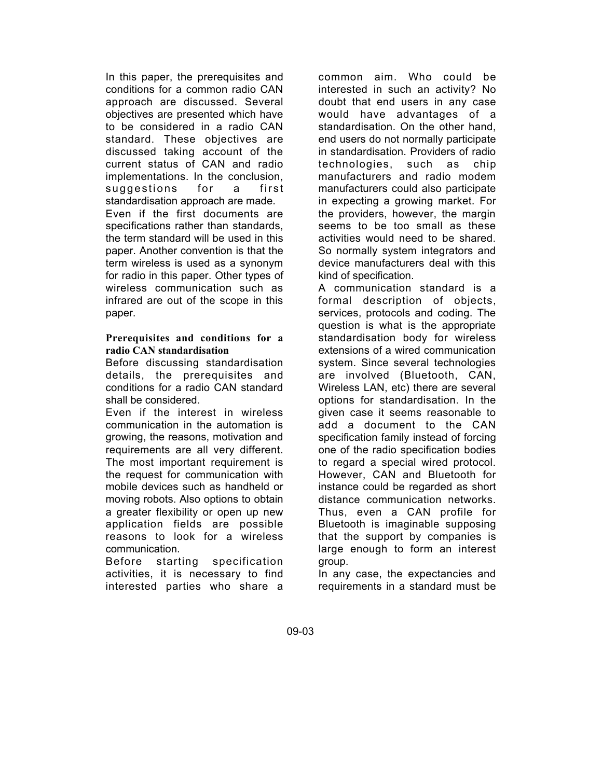In this paper, the prerequisites and conditions for a common radio CAN approach are discussed. Several objectives are presented which have to be considered in a radio CAN standard. These objectives are discussed taking account of the current status of CAN and radio implementations. In the conclusion, suggestions for a first standardisation approach are made. Even if the first documents are specifications rather than standards, the term standard will be used in this paper. Another convention is that the term wireless is used as a synonym for radio in this paper. Other types of wireless communication such as infrared are out of the scope in this paper.

### **Prerequisites and conditions for a radio CAN standardisation**

Before discussing standardisation details, the prerequisites and conditions for a radio CAN standard shall be considered.

Even if the interest in wireless communication in the automation is growing, the reasons, motivation and requirements are all very different. The most important requirement is the request for communication with mobile devices such as handheld or moving robots. Also options to obtain a greater flexibility or open up new application fields are possible reasons to look for a wireless communication.

Before starting specification activities, it is necessary to find interested parties who share a

common aim. Who could be interested in such an activity? No doubt that end users in any case would have advantages of a standardisation. On the other hand, end users do not normally participate in standardisation. Providers of radio technologies, such as chip manufacturers and radio modem manufacturers could also participate in expecting a growing market. For the providers, however, the margin seems to be too small as these activities would need to be shared. So normally system integrators and device manufacturers deal with this kind of specification.

A communication standard is a formal description of objects, services, protocols and coding. The question is what is the appropriate standardisation body for wireless extensions of a wired communication system. Since several technologies are involved (Bluetooth, CAN, Wireless LAN, etc) there are several options for standardisation. In the given case it seems reasonable to add a document to the CAN specification family instead of forcing one of the radio specification bodies to regard a special wired protocol. However, CAN and Bluetooth for instance could be regarded as short distance communication networks. Thus, even a CAN profile for Bluetooth is imaginable supposing that the support by companies is large enough to form an interest group.

In any case, the expectancies and requirements in a standard must be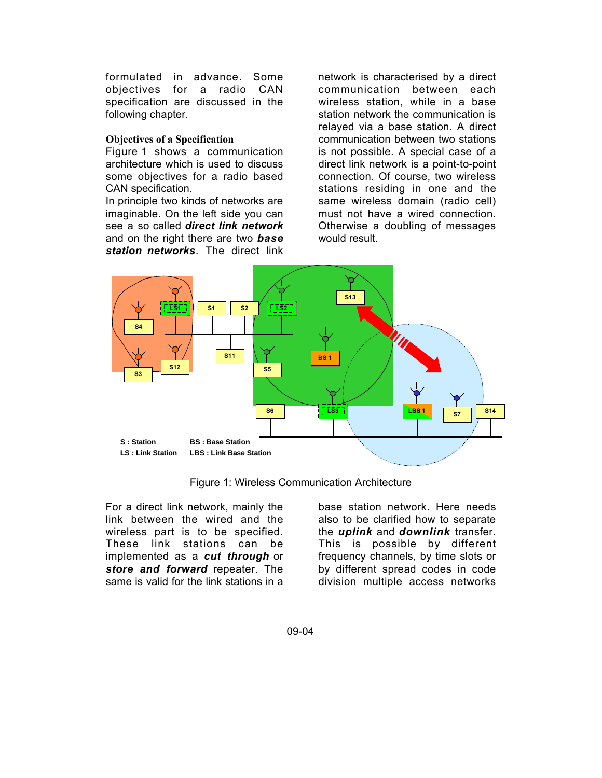formulated in advance. Some objectives for a radio CAN specification are discussed in the following chapter.

### **Objectives of a Specification**

Figure 1 shows a communication architecture which is used to discuss some objectives for a radio based CAN specification.

In principle two kinds of networks are imaginable. On the left side you can see a so called *direct link network* and on the right there are two *base station networks*. The direct link

network is characterised by a direct communication between each wireless station, while in a base station network the communication is relayed via a base station. A direct communication between two stations is not possible. A special case of a direct link network is a point-to-point connection. Of course, two wireless stations residing in one and the same wireless domain (radio cell) must not have a wired connection. Otherwise a doubling of messages would result.



Figure 1: Wireless Communication Architecture

For a direct link network, mainly the link between the wired and the wireless part is to be specified. These link stations can be implemented as a *cut through* or *store and forward* repeater. The same is valid for the link stations in a

base station network. Here needs also to be clarified how to separate the *uplink* and *downlink* transfer. This is possible by different frequency channels, by time slots or by different spread codes in code division multiple access networks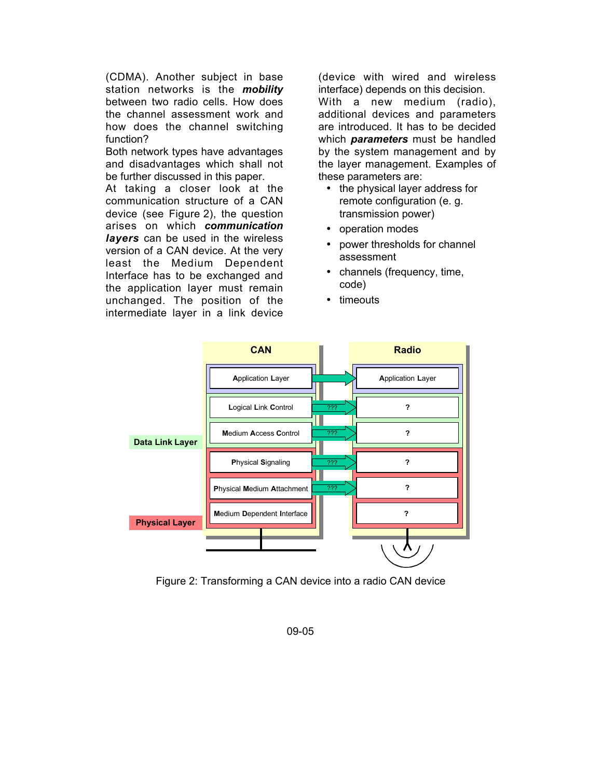(CDMA). Another subject in base station networks is the *mobility* between two radio cells. How does the channel assessment work and how does the channel switching function?

Both network types have advantages and disadvantages which shall not be further discussed in this paper.

At taking a closer look at the communication structure of a CAN device (see Figure 2), the question arises on which *communication layers* can be used in the wireless version of a CAN device. At the very least the Medium Dependent Interface has to be exchanged and the application layer must remain unchanged. The position of the intermediate layer in a link device

(device with wired and wireless interface) depends on this decision. With a new medium (radio), additional devices and parameters are introduced. It has to be decided which *parameters* must be handled by the system management and by the layer management. Examples of these parameters are:

- the physical layer address for remote configuration (e. g. transmission power)
- operation modes
- power thresholds for channel assessment
- channels (frequency, time, code)
- timeouts



Figure 2: Transforming a CAN device into a radio CAN device

09-05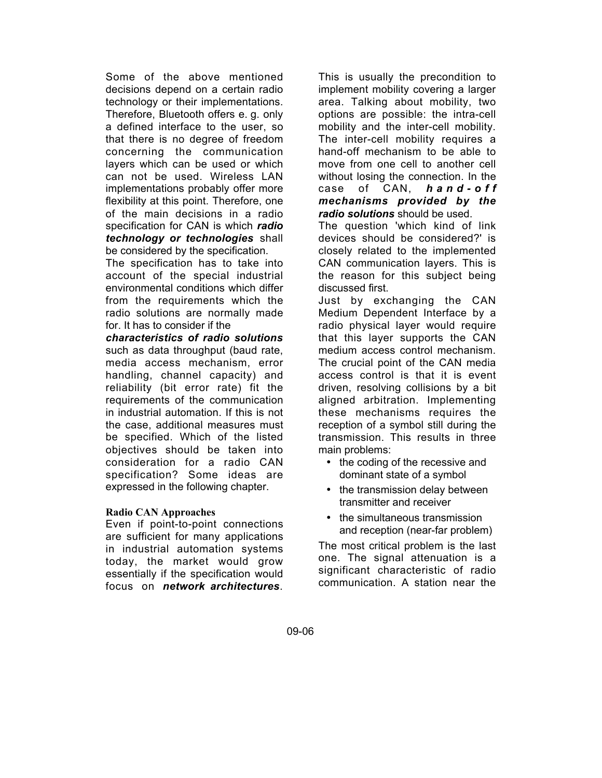Some of the above mentioned decisions depend on a certain radio technology or their implementations. Therefore, Bluetooth offers e. g. only a defined interface to the user, so that there is no degree of freedom concerning the communication layers which can be used or which can not be used. Wireless LAN implementations probably offer more flexibility at this point. Therefore, one of the main decisions in a radio specification for CAN is which *radio technology or technologies* shall be considered by the specification.

The specification has to take into account of the special industrial environmental conditions which differ from the requirements which the radio solutions are normally made for. It has to consider if the

*characteristics of radio solutions* such as data throughput (baud rate, media access mechanism, error handling, channel capacity) and reliability (bit error rate) fit the requirements of the communication in industrial automation. If this is not the case, additional measures must be specified. Which of the listed objectives should be taken into consideration for a radio CAN specification? Some ideas are expressed in the following chapter.

#### **Radio CAN Approaches**

Even if point-to-point connections are sufficient for many applications in industrial automation systems today, the market would grow essentially if the specification would focus on *network architectures*.

This is usually the precondition to implement mobility covering a larger area. Talking about mobility, two options are possible: the intra-cell mobility and the inter-cell mobility. The inter-cell mobility requires a hand-off mechanism to be able to move from one cell to another cell without losing the connection. In the case of CAN, *hand-off mechanisms provided by the radio solutions* should be used.

The question 'which kind of link devices should be considered?' is closely related to the implemented CAN communication layers. This is the reason for this subject being discussed first.

Just by exchanging the CAN Medium Dependent Interface by a radio physical layer would require that this layer supports the CAN medium access control mechanism. The crucial point of the CAN media access control is that it is event driven, resolving collisions by a bit aligned arbitration. Implementing these mechanisms requires the reception of a symbol still during the transmission. This results in three main problems:

- the coding of the recessive and dominant state of a symbol
- the transmission delay between transmitter and receiver
- the simultaneous transmission and reception (near-far problem)

The most critical problem is the last one. The signal attenuation is a significant characteristic of radio communication. A station near the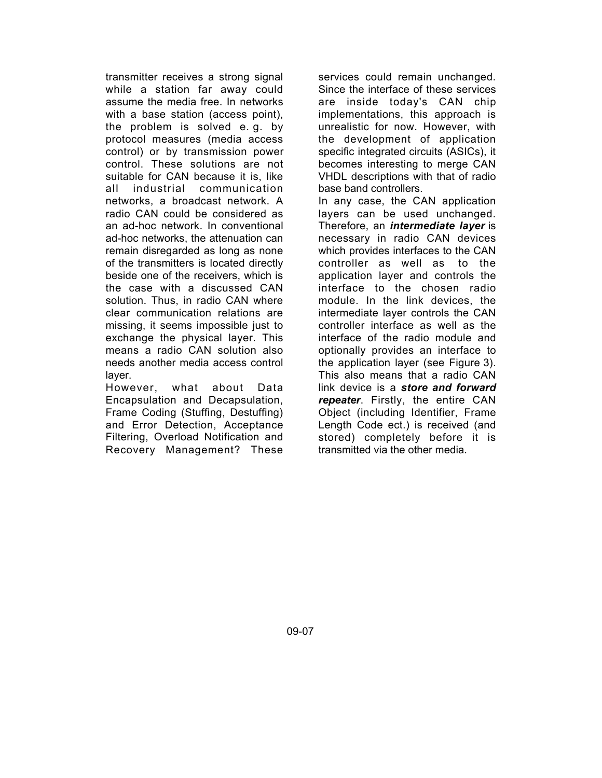transmitter receives a strong signal while a station far away could assume the media free. In networks with a base station (access point). the problem is solved e. g. by protocol measures (media access control) or by transmission power control. These solutions are not suitable for CAN because it is, like all industrial communication networks, a broadcast network. A radio CAN could be considered as an ad-hoc network. In conventional ad-hoc networks, the attenuation can remain disregarded as long as none of the transmitters is located directly beside one of the receivers, which is the case with a discussed CAN solution. Thus, in radio CAN where clear communication relations are missing, it seems impossible just to exchange the physical layer. This means a radio CAN solution also needs another media access control layer.

However, what about Data Encapsulation and Decapsulation, Frame Coding (Stuffing, Destuffing) and Error Detection, Acceptance Filtering, Overload Notification and Recovery Management? These

services could remain unchanged. Since the interface of these services are inside today's CAN chip implementations, this approach is unrealistic for now. However, with the development of application specific integrated circuits (ASICs), it becomes interesting to merge CAN VHDL descriptions with that of radio base band controllers.

In any case, the CAN application layers can be used unchanged. Therefore, an *intermediate layer* is necessary in radio CAN devices which provides interfaces to the CAN controller as well as to the application layer and controls the interface to the chosen radio module. In the link devices, the intermediate layer controls the CAN controller interface as well as the interface of the radio module and optionally provides an interface to the application layer (see Figure 3). This also means that a radio CAN link device is a *store and forward repeater*. Firstly, the entire CAN Object (including Identifier, Frame Length Code ect.) is received (and stored) completely before it is transmitted via the other media.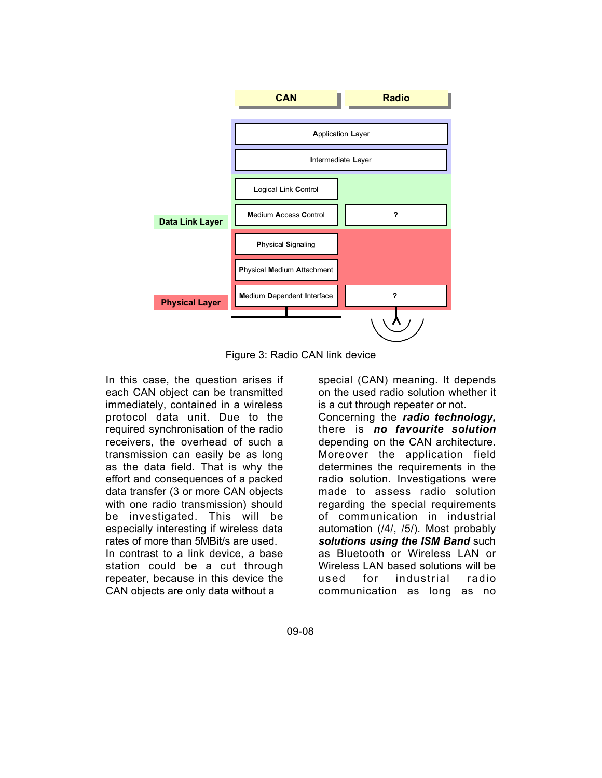

Figure 3: Radio CAN link device

In this case, the question arises if each CAN object can be transmitted immediately, contained in a wireless protocol data unit. Due to the required synchronisation of the radio receivers, the overhead of such a transmission can easily be as long as the data field. That is why the effort and consequences of a packed data transfer (3 or more CAN objects with one radio transmission) should be investigated. This will be especially interesting if wireless data rates of more than 5MBit/s are used. In contrast to a link device, a base station could be a cut through repeater, because in this device the CAN objects are only data without a

special (CAN) meaning. It depends on the used radio solution whether it is a cut through repeater or not.

Concerning the *radio technology,* there is *no favourite solution* depending on the CAN architecture. Moreover the application field determines the requirements in the radio solution. Investigations were made to assess radio solution regarding the special requirements of communication in industrial automation (/4/, /5/). Most probably *solutions using the ISM Band* such as Bluetooth or Wireless LAN or Wireless LAN based solutions will be used for industrial radio communication as long as no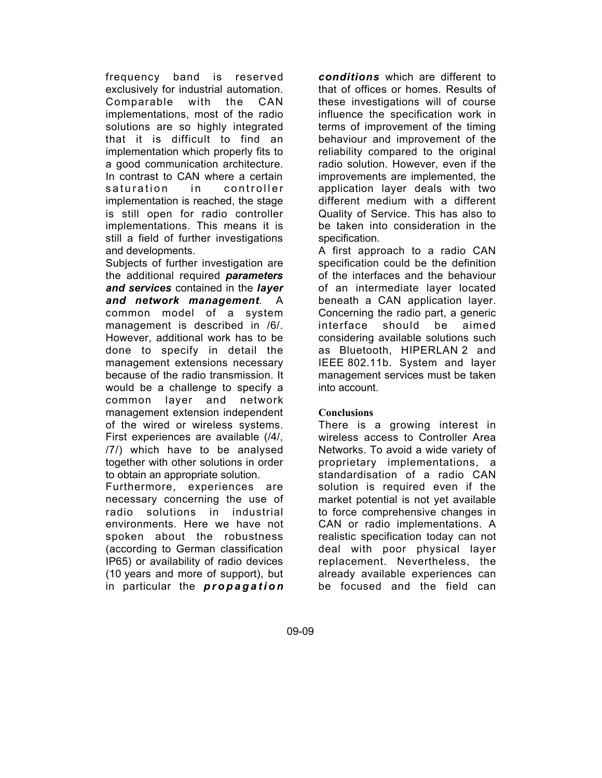frequency band is reserved exclusively for industrial automation. Comparable with the CAN implementations, most of the radio solutions are so highly integrated that it is difficult to find an implementation which properly fits to a good communication architecture. In contrast to CAN where a certain saturation in controller implementation is reached, the stage is still open for radio controller implementations. This means it is still a field of further investigations and developments.

Subjects of further investigation are the additional required *parameters and services* contained in the *layer and network management*. A common model of a system management is described in /6/. However, additional work has to be done to specify in detail the management extensions necessary because of the radio transmission. It would be a challenge to specify a common layer and network management extension independent of the wired or wireless systems. First experiences are available (/4/, /7/) which have to be analysed together with other solutions in order to obtain an appropriate solution.

Furthermore, experiences are necessary concerning the use of radio solutions in industrial environments. Here we have not spoken about the robustness (according to German classification IP65) or availability of radio devices (10 years and more of support), but in particular the *propagation*

*conditions* which are different to that of offices or homes. Results of these investigations will of course influence the specification work in terms of improvement of the timing behaviour and improvement of the reliability compared to the original radio solution. However, even if the improvements are implemented, the application layer deals with two different medium with a different Quality of Service. This has also to be taken into consideration in the specification.

A first approach to a radio CAN specification could be the definition of the interfaces and the behaviour of an intermediate layer located beneath a CAN application layer. Concerning the radio part, a generic interface should be aimed considering available solutions such as Bluetooth, HIPERLAN 2 and IEEE 802.11b. System and layer management services must be taken into account.

# **Conclusions**

There is a growing interest in wireless access to Controller Area Networks. To avoid a wide variety of proprietary implementations, a standardisation of a radio CAN solution is required even if the market potential is not yet available to force comprehensive changes in CAN or radio implementations. A realistic specification today can not deal with poor physical layer replacement. Nevertheless, the already available experiences can be focused and the field can